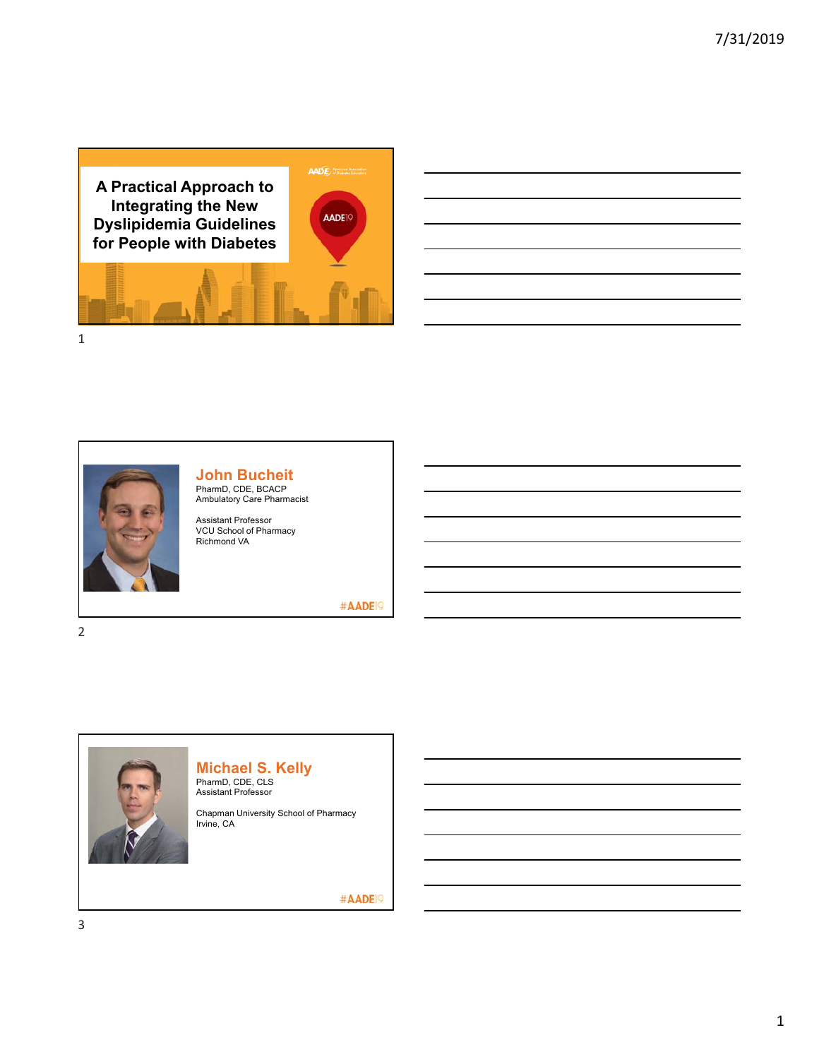



# **John Bucheit**

PharmD, CDE, BCACP Ambulatory Care Pharmacist

Assistant Professor VCU School of Pharmacy Richmond VA

#AADE<sup>19</sup>



# **Michael S. Kelly**

PharmD, CDE, CLS Assistant Professor

Chapman University School of Pharmacy Irvine, CA

#AADE<sup>19</sup>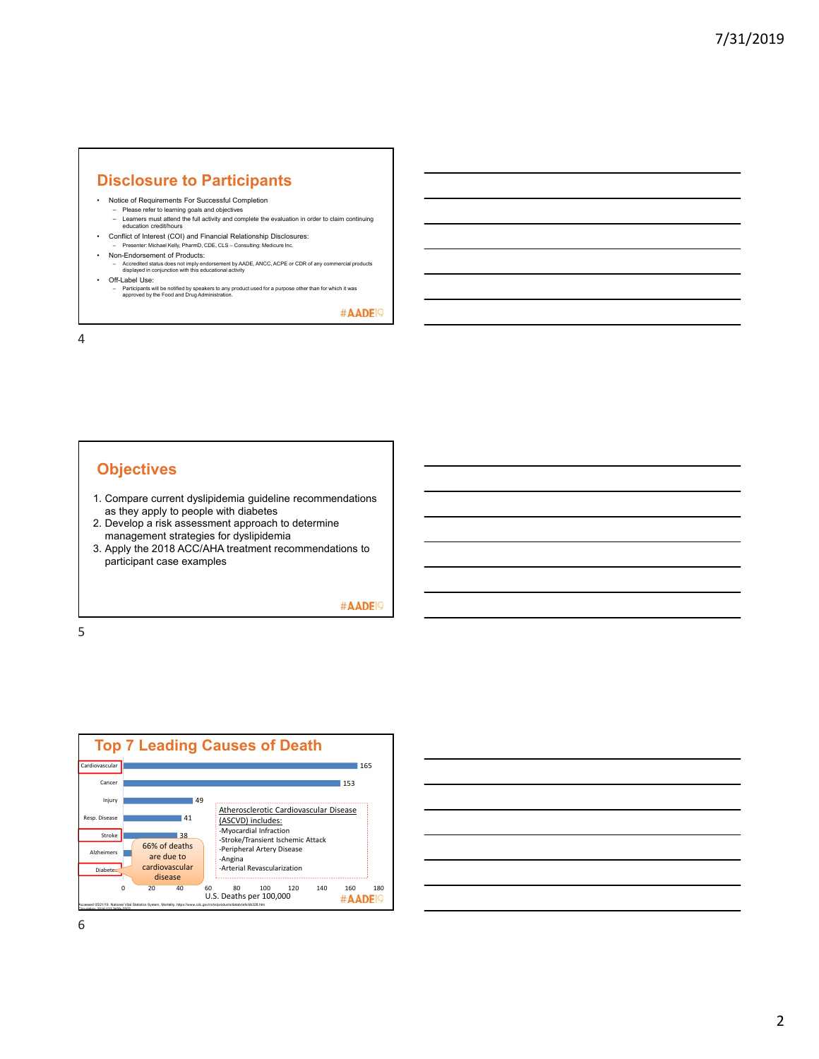### **Disclosure to Participants**

- Notice of Requirements For Successful Completion
- Please refer to learning goals and objectives Learners must attend the full activity and complete the evaluation in order to claim continuing education credit/hours
- Conflict of Interest (COI) and Financial Relationship Disclosures: – Presenter: Michael Kelly, PharmD, CDE, CLS – Consulting: Medicure Inc.
- Non-Endorsement of Products:
	- Accredited status does not imply endorsement by AADE, ANCC, ACPE or CDR of any commercial products displayed in conjunction with this educational activity
- Off-Label Use:
- Participants will be notified by speakers to any product used for a purpose other than for which it was approved by the Food and Drug Administration.

#AADE<sup>19</sup>

4

# **Objectives**

- 1. Compare current dyslipidemia guideline recommendations as they apply to people with diabetes
- 2. Develop a risk assessment approach to determine management strategies for dyslipidemia
- 3. Apply the 2018 ACC/AHA treatment recommendations to participant case examples

#AADE<sup>19</sup>



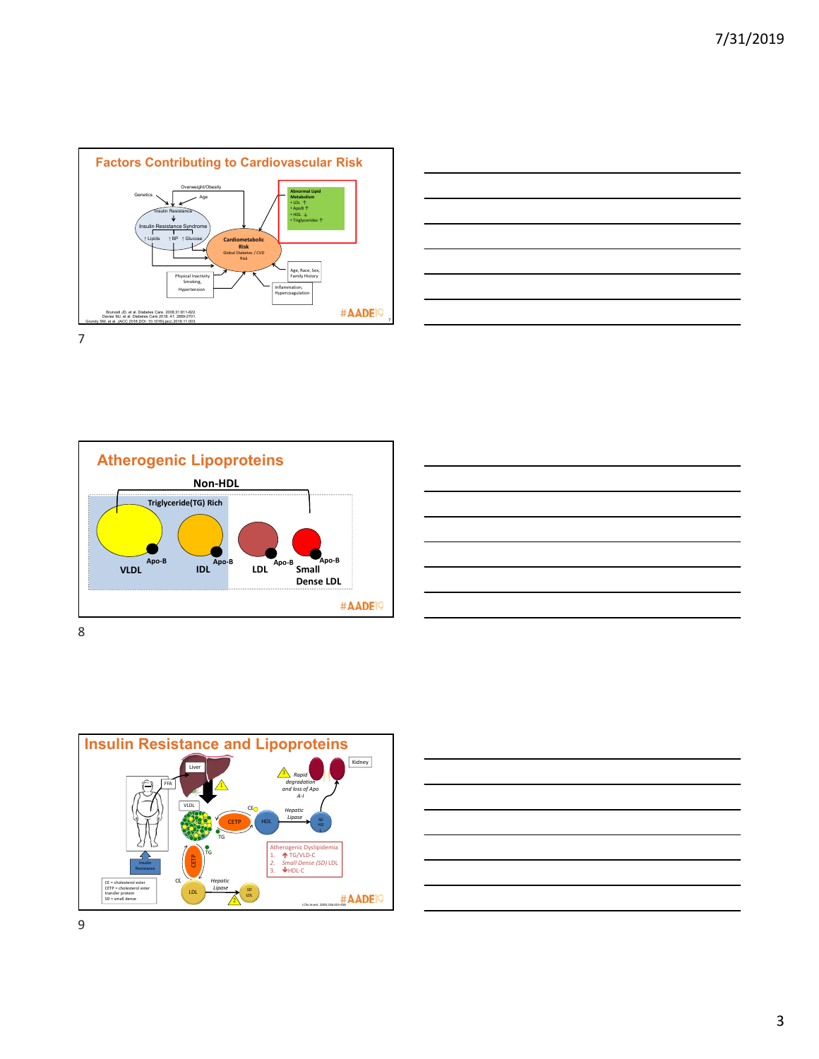









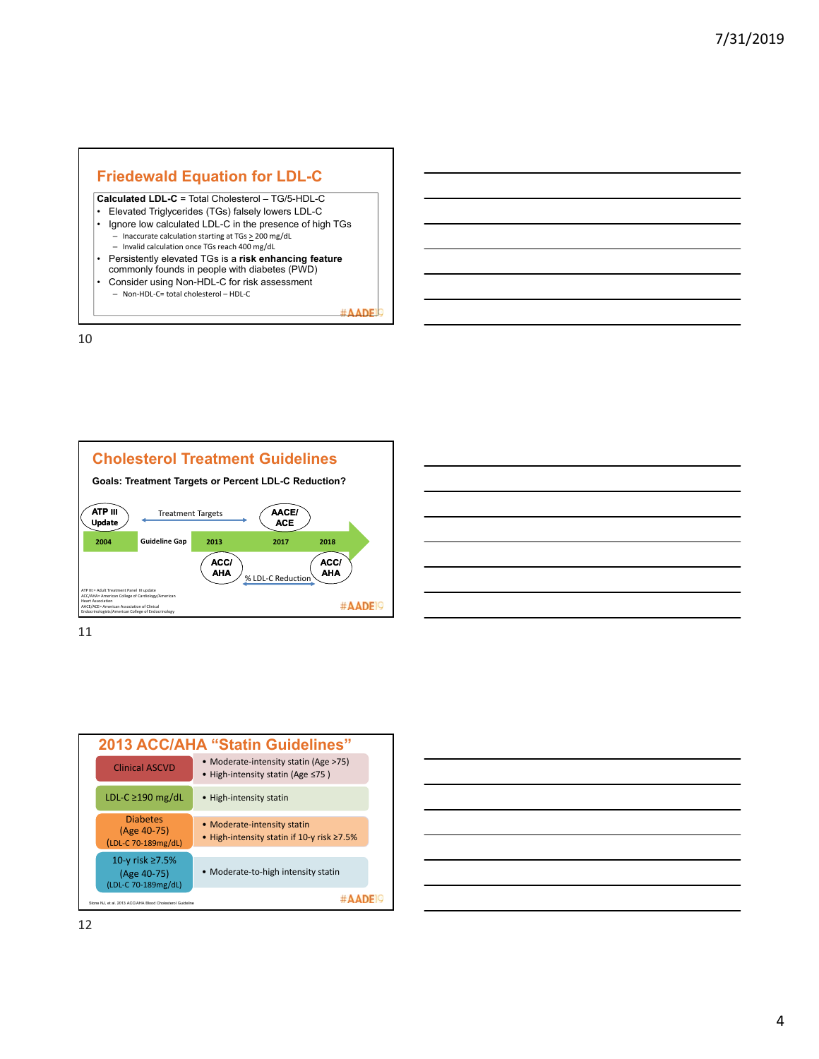# **Friedewald Equation for LDL-C**

#### **Calculated LDL-C** = Total Cholesterol – TG/5-HDL-C

- Elevated Triglycerides (TGs) falsely lowers LDL-C
- Ignore low calculated LDL-C in the presence of high TGs – Inaccurate calculation starting at  $TGs \ge 200$  mg/dL – Invalid calculation once TGs reach 400 mg/dL
- Persistently elevated TGs is a **risk enhancing feature**  commonly founds in people with diabetes (PWD)
- Consider using Non-HDL-C for risk assessment
- Non‐HDL‐C= total cholesterol HDL‐C

#AADF





11



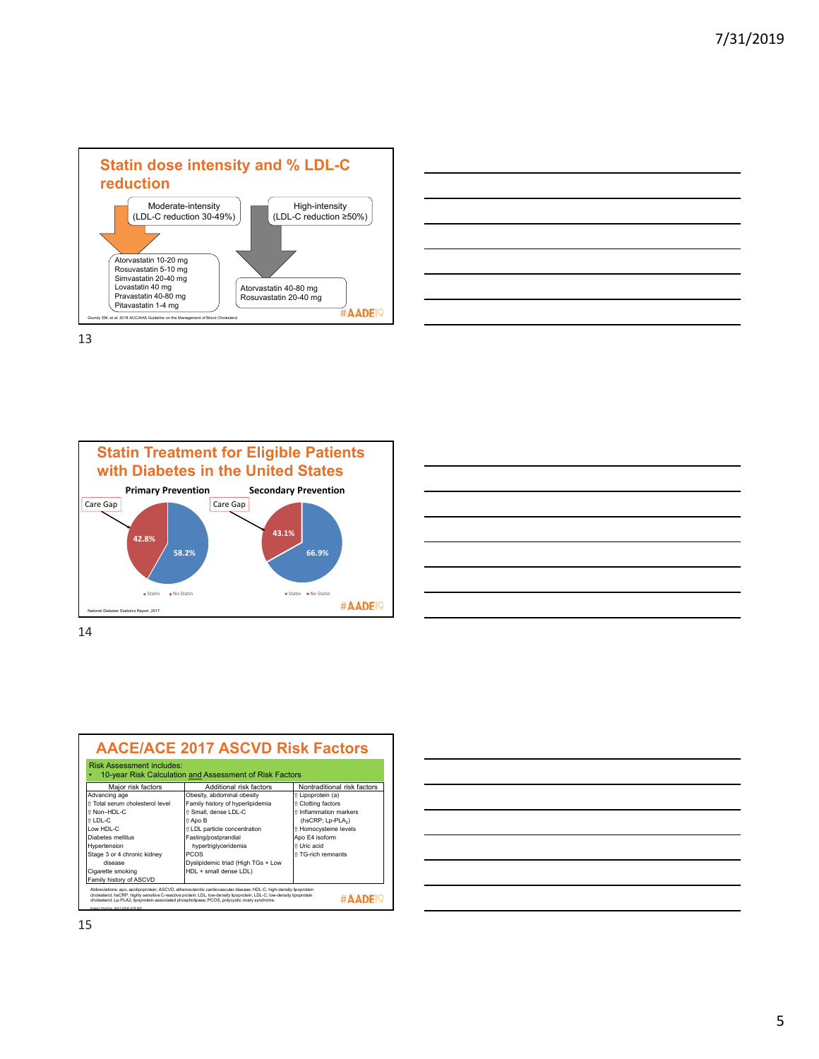



**Statin Treatment for Eligible Patients with Diabetes in the United States Primary Prevention Secondary Prevention** Care Gap Care Gap **43.1% 42.8% 58.2% 66.9%** Statin No Statin  $\bullet$  Statin  $\bullet$  No Statin #AADE<sup>19</sup> National Diabetes Statistics Report, 2017

14

| <b>Risk Assessment includes:</b> | 10-year Risk Calculation and Assessment of Risk Factors |                               |
|----------------------------------|---------------------------------------------------------|-------------------------------|
| Major risk factors               | Additional risk factors                                 | Nontraditional risk factors   |
| Advancing age                    | Obesity, abdominal obesity                              | t Lipoprotein (a)             |
| ft Total serum cholesterol level | Family history of hyperlipidemia                        | ↑ Clotting factors            |
| ↑ Non-HDL-C                      | ft Small, dense LDL-C                                   | ft Inflammation markers       |
| $\hat{H}$ I DI -C                | ft Apo B                                                | (hsCRP; Lp-PLA <sub>2</sub> ) |
| ow HDI-C                         | <i>t</i> LDL particle concentration                     | the Homocysteine levels       |
| Diabetes mellitus                | Fasting/postprandial                                    | Apo E4 isoform                |
| Hypertension                     | hypertriglyceridemia                                    | ft Uric acid                  |
| Stage 3 or 4 chronic kidney      | <b>PCOS</b>                                             | ft TG-rich remnants           |
| disease                          | Dyslipidemic triad (High TGs + Low                      |                               |
| Cigarette smoking                | HDL + small dense LDL)                                  |                               |
| Family history of ASCVD          |                                                         |                               |

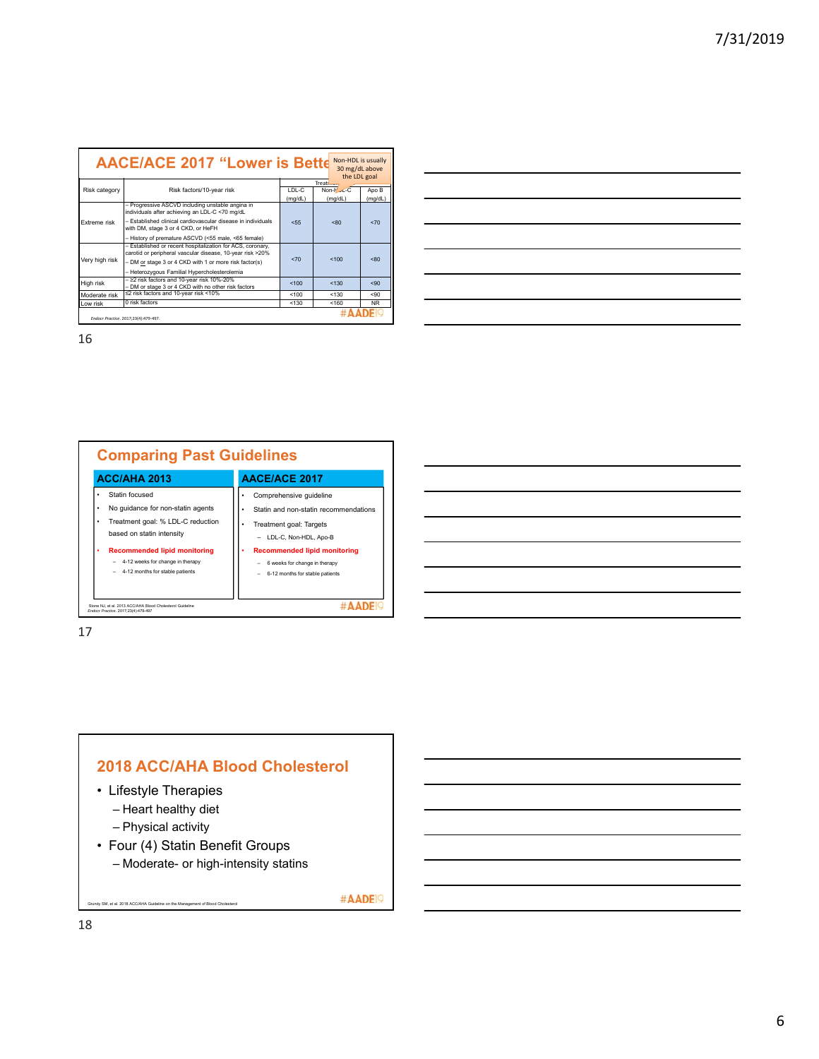|                | Non-HDL is usually<br><b>AACE/ACE 2017 "Lower is Bette</b><br>30 mg/dL above<br>the LDL goal                            |                    |                        |                  |  |
|----------------|-------------------------------------------------------------------------------------------------------------------------|--------------------|------------------------|------------------|--|
|                |                                                                                                                         |                    | Treatr <sub>poor</sub> |                  |  |
| Risk category  | Risk factors/10-year risk                                                                                               | I DI -C<br>(mq/dL) | Non-Hou-C<br>(mq/dL)   | Apo B<br>(mg/dL) |  |
|                | - Progressive ASCVD including unstable angina in<br>individuals after achieving an LDL-C <70 mg/dL                      |                    |                        |                  |  |
| Extreme risk   | - Established clinical cardiovascular disease in individuals<br>with DM, stage 3 or 4 CKD, or HeFH                      | 555<br>< 80        |                        | $5 - 70$         |  |
|                | - History of premature ASCVD (<55 male, <65 female)                                                                     |                    |                        |                  |  |
|                | - Established or recent hospitalization for ACS, coronary,<br>carotid or peripheral vascular disease, 10-year risk >20% |                    |                        |                  |  |
| Very high risk | - DM or stage 3 or 4 CKD with 1 or more risk factor(s)                                                                  | $5 - 70$           | 100                    | < 80             |  |
|                | - Heterozygous Familial Hypercholesterolemia                                                                            |                    |                        |                  |  |
| High risk      | - ≥2 risk factors and 10-year risk 10%-20%<br>- DM or stage 3 or 4 CKD with no other risk factors                       | 100                | < 130                  | 590              |  |
| Moderate risk  | ≤2 risk factors and 10-year risk <10%                                                                                   | 100                | < 130                  | 590              |  |
| Low risk       | 0 risk factors                                                                                                          | < 130              | < 160                  | <b>NR</b>        |  |
|                | Endocr Practice, 2017:23(4):479-497.                                                                                    |                    |                        |                  |  |



17



#AADE<sup>19</sup>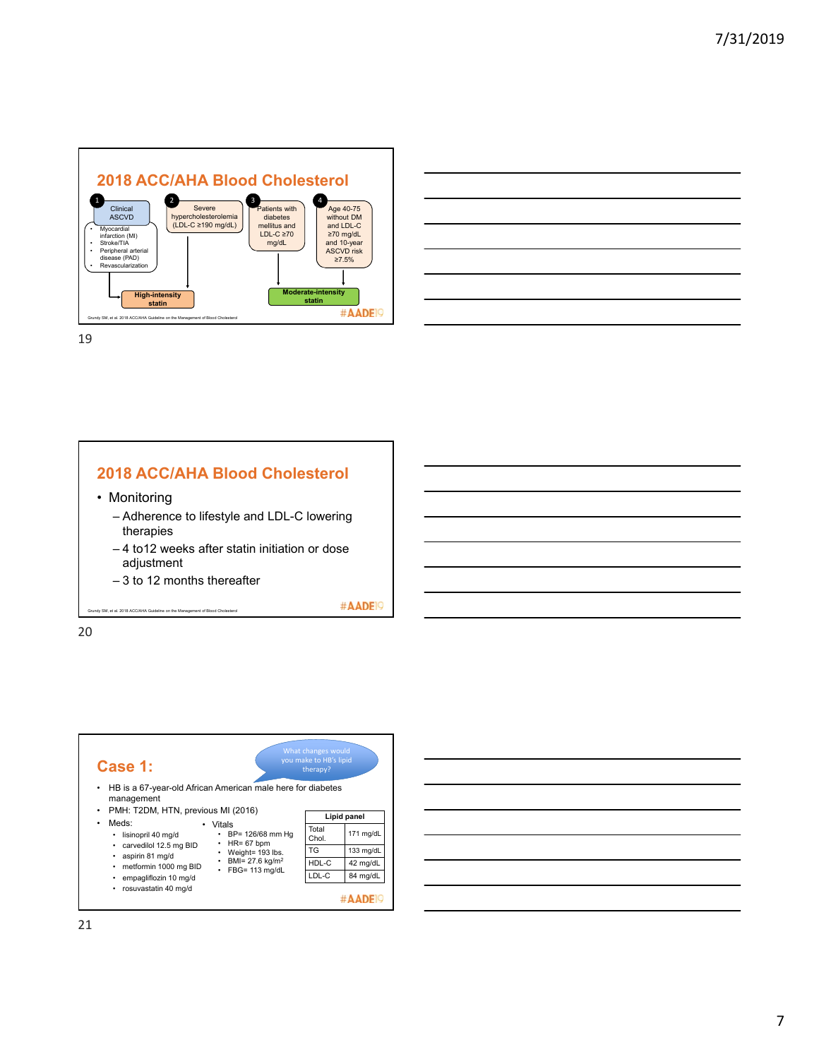





| Case 1:                                                                        |                                                  | What changes would<br>you make to HB's lipid<br>therapy? |             |
|--------------------------------------------------------------------------------|--------------------------------------------------|----------------------------------------------------------|-------------|
| HB is a 67-year-old African American male here for diabetes<br>٠<br>management |                                                  |                                                          |             |
| PMH: T2DM, HTN, previous MI (2016)<br>$\bullet$                                |                                                  |                                                          | Lipid panel |
| Meds:<br>٠<br>lisinopril 40 mg/d<br>٠                                          | Vitals<br>BP= 126/68 mm Ha<br>$HR = 67$ bpm<br>٠ | Total<br>Chol.                                           | 171 mg/dL   |
| carvedilol 12.5 mg BID<br>aspirin 81 mg/d                                      | Weight= 193 lbs.                                 | TG                                                       | 133 mg/dL   |
| metformin 1000 mg BID<br>٠                                                     | BMI= 27.6 kg/m <sup>2</sup>                      | HDL-C                                                    | 42 mg/dL    |
| empagliflozin 10 mg/d<br>٠                                                     | FBG= 113 mg/dL                                   | LDL-C                                                    | 84 mg/dL    |
| rosuvastatin 40 mg/d<br>٠                                                      |                                                  |                                                          |             |

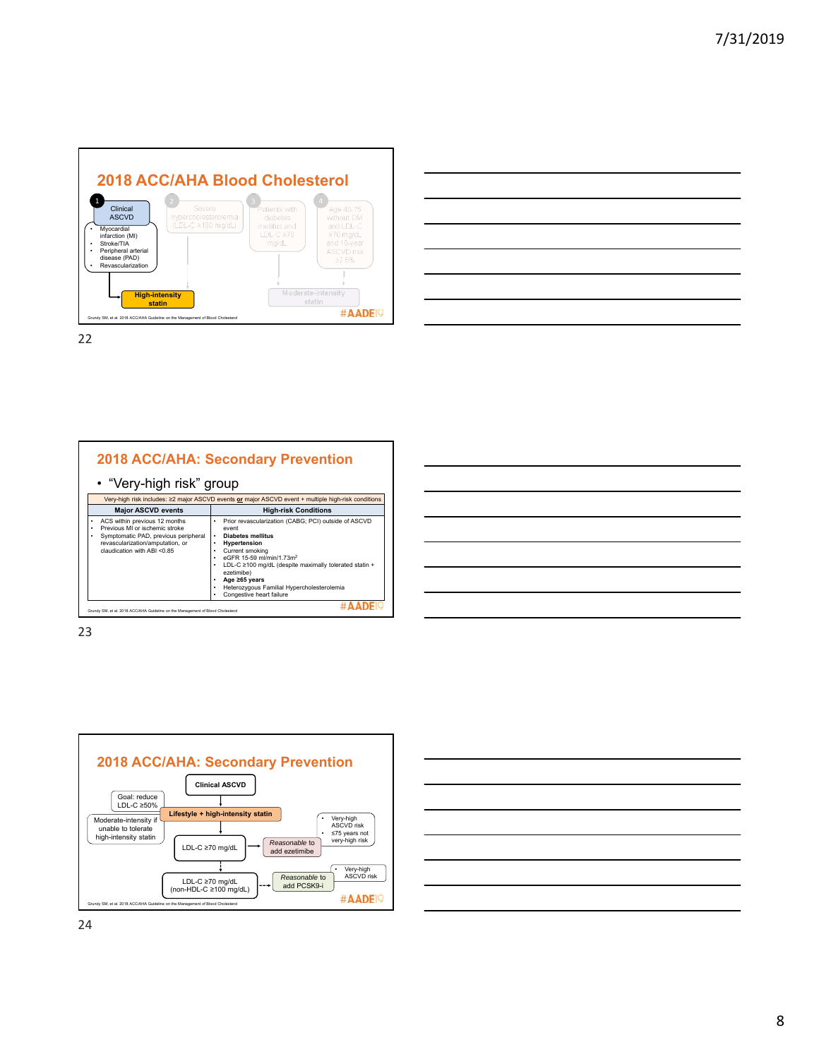





| <u> 1989 - Johann Barn, mars et al. 1989 - Anna ann an t-Anna ann an t-Anna ann an t-Anna ann an t-Anna ann an t-</u> |  |  |
|-----------------------------------------------------------------------------------------------------------------------|--|--|
|                                                                                                                       |  |  |
|                                                                                                                       |  |  |
|                                                                                                                       |  |  |

23



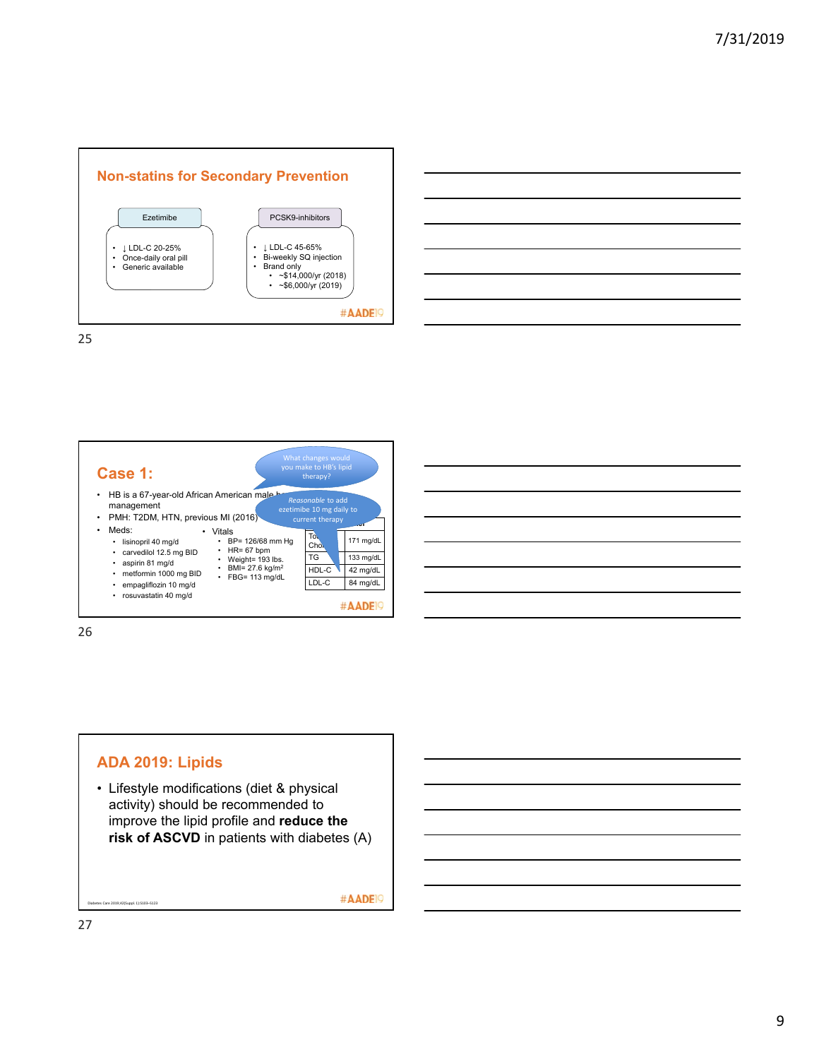





26



#AADE<sup>19</sup>

27

Diabetes Care 2019;42(Suppl. 1):S103–S123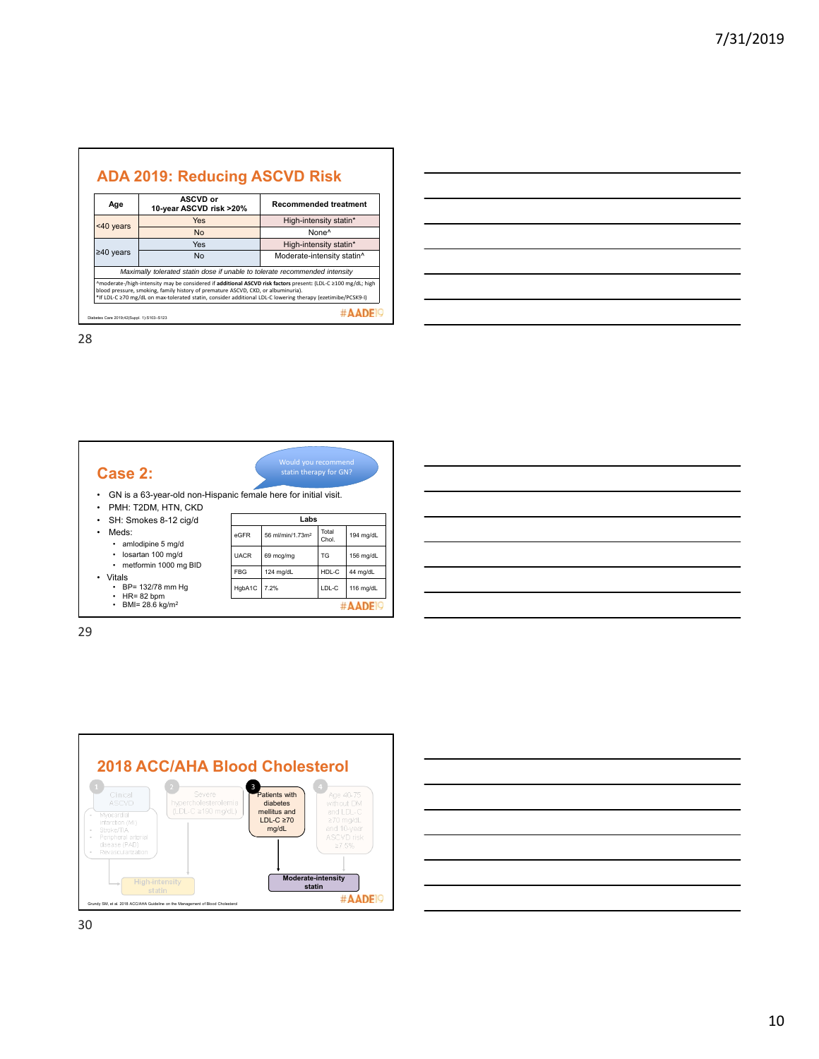| Age             | <b>ASCVD or</b><br>10-year ASCVD risk >20%                                                                                                                                                       | <b>Recommended treatment</b> |  |  |
|-----------------|--------------------------------------------------------------------------------------------------------------------------------------------------------------------------------------------------|------------------------------|--|--|
|                 | <b>Yes</b><br>High-intensity statin*                                                                                                                                                             |                              |  |  |
| $<$ 40 years    | <b>No</b>                                                                                                                                                                                        | None <sup>^</sup>            |  |  |
|                 | High-intensity statin*<br><b>Yes</b>                                                                                                                                                             |                              |  |  |
| $\geq 40$ years | <b>No</b>                                                                                                                                                                                        | Moderate-intensity statin^   |  |  |
|                 | Maximally tolerated statin dose if unable to tolerate recommended intensity                                                                                                                      |                              |  |  |
|                 | ^moderate-/high-intensity may be considered if additional ASCVD risk factors present: (LDL-C ≥100 mg/dL; high                                                                                    |                              |  |  |
|                 | blood pressure, smoking, family history of premature ASCVD, CKD, or albuminuria).<br>*If LDL-C ≥70 mg/dL on max-tolerated statin, consider additional LDL-C lowering therapy (ezetimibe/PCSK9-I) |                              |  |  |

**Case 2:** 



- GN is a 63-year-old non-Hispanic female here for initial visit.
- PMH: T2DM, HTN, CKD • SH: Smokes 8-12 cig/d

• Meds:

- - amlodipine 5 mg/d • losartan 100 mg/d
	- metformin 1000 mg BID
	-
- Vitals BP= 132/78 mm Hg HR= 82 bpm BMI= 28.6 kg/m2
- 
- 

| Labs           |                              |           |           |  |
|----------------|------------------------------|-----------|-----------|--|
| eGFR           | 56 ml/min/1.73m <sup>2</sup> | 194 mg/dL |           |  |
| <b>UACR</b>    | 69 mcg/mg                    | TG        | 156 mg/dL |  |
| <b>FBG</b>     | 124 mg/dL                    | HDL-C     | 44 mg/dL  |  |
| HgbA1C<br>7.2% |                              | LDL-C     | 116 mg/dL |  |
|                |                              |           |           |  |

| ,我们也不会有一个人的事情。""我们的人们,我们也不会有一个人的人,我们也不会有一个人的人,我们也不会有一个人的人,我们也不会有一个人的人,我们也不会有一个人的<br>第一百一十一章 我们的人,我们的人们的人们,我们的人们的人们的人们,我们的人们的人们的人们,我们的人们的人们,我们的人们的人们,我们的人们的人们,我们的人们的人 |  |  |  |
|----------------------------------------------------------------------------------------------------------------------------------------------------------------------|--|--|--|



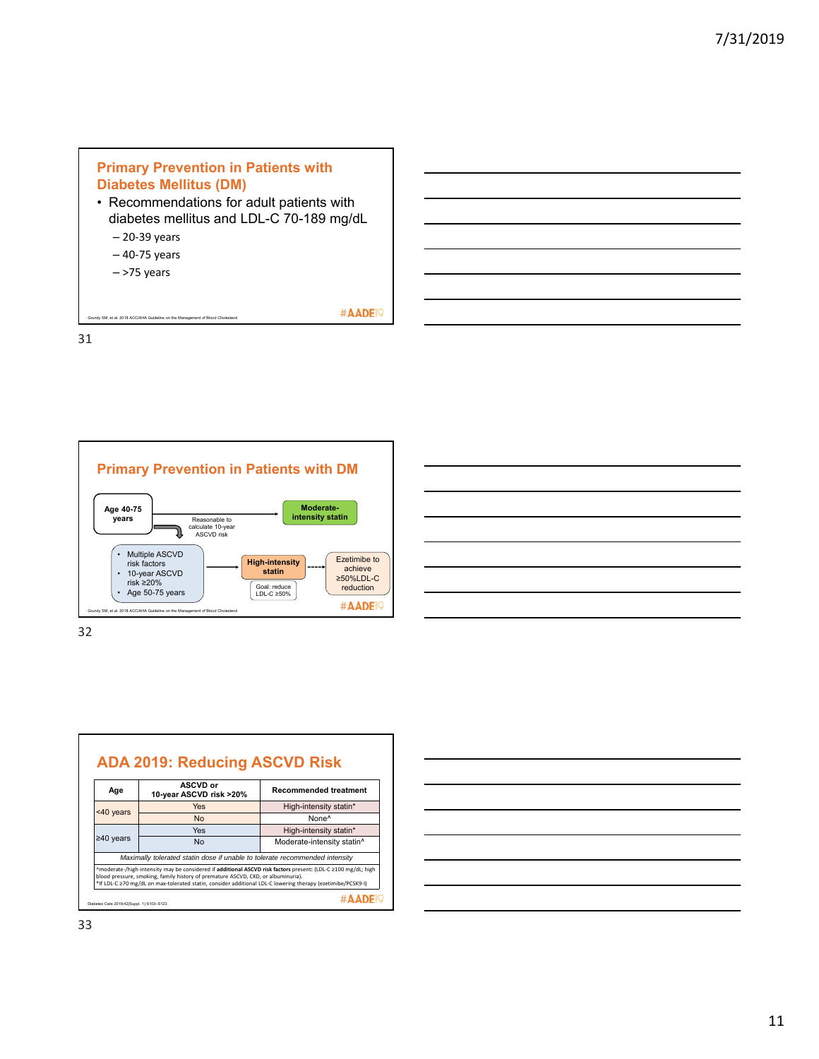# **Primary Prevention in Patients with Diabetes Mellitus (DM)**

- Recommendations for adult patients with diabetes mellitus and LDL-C 70-189 mg/dL
	- 20‐39 years
	- 40‐75 years
	- >75 years

SM, et al. 2018 ACC/AHA Guideline

#AADE<sup>19</sup>

31





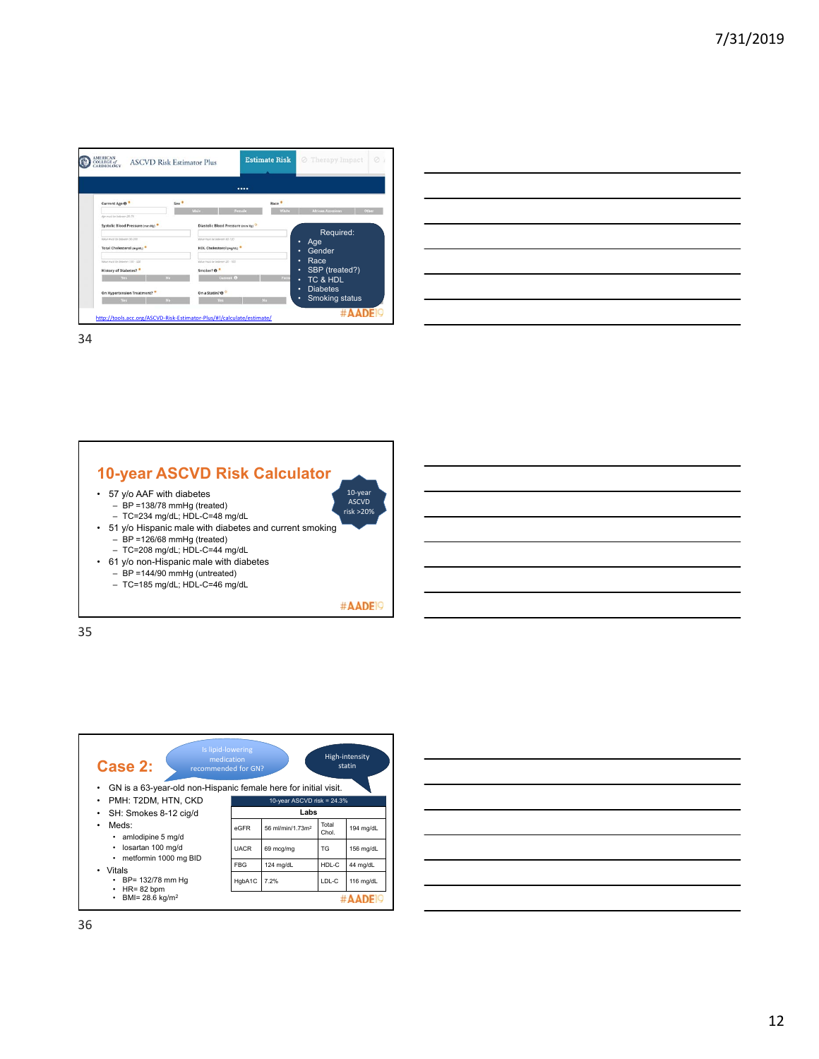





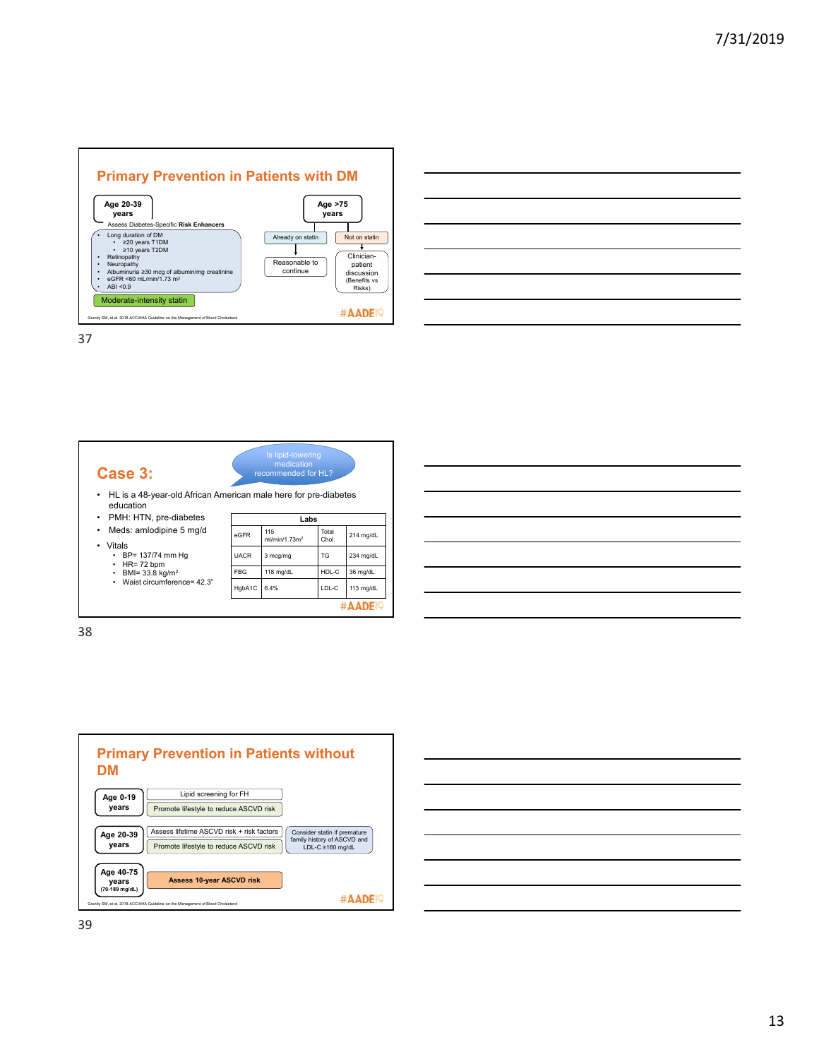





| Vitais |                  |  |
|--------|------------------|--|
|        | BP= 137/74 mm Hg |  |
|        |                  |  |

- HR= 72 bpm BMI= 33.8 kg/m2
- Waist circumference= 42.3"

| eGFR        | 115<br>ml/min/1.73m <sup>2</sup> | Total<br>Chol. | 214 mg/dL |
|-------------|----------------------------------|----------------|-----------|
| <b>UACR</b> | 3 mcg/mg                         | TG             | 234 mg/dL |
| <b>FBG</b>  | 118 mg/dL                        | HDL-C          | 36 mg/dL  |
| HgbA1C      | 6.4%                             | LDL-C          | 113 mg/dL |
|             |                                  |                |           |

-

| <u> 1989 - Johann Barn, amerikan bernama di sebagai bernama di sebagai bernama di sebagai bernama di sebagai ber</u>                                                                                                          |  |  |
|-------------------------------------------------------------------------------------------------------------------------------------------------------------------------------------------------------------------------------|--|--|
| <u> 1989 - Johann Stoff, amerikansk politiker (d. 1989)</u>                                                                                                                                                                   |  |  |
| <u> 1989 - Andrea Andrew Maria (h. 1989).</u>                                                                                                                                                                                 |  |  |
| the control of the control of the control of the control of the control of the control of the control of the control of the control of the control of the control of the control of the control of the control of the control |  |  |
| <u> 1989 - Johann Stoff, deutscher Stoffen und der Stoffen und der Stoffen und der Stoffen und der Stoffen und d</u>                                                                                                          |  |  |
|                                                                                                                                                                                                                               |  |  |



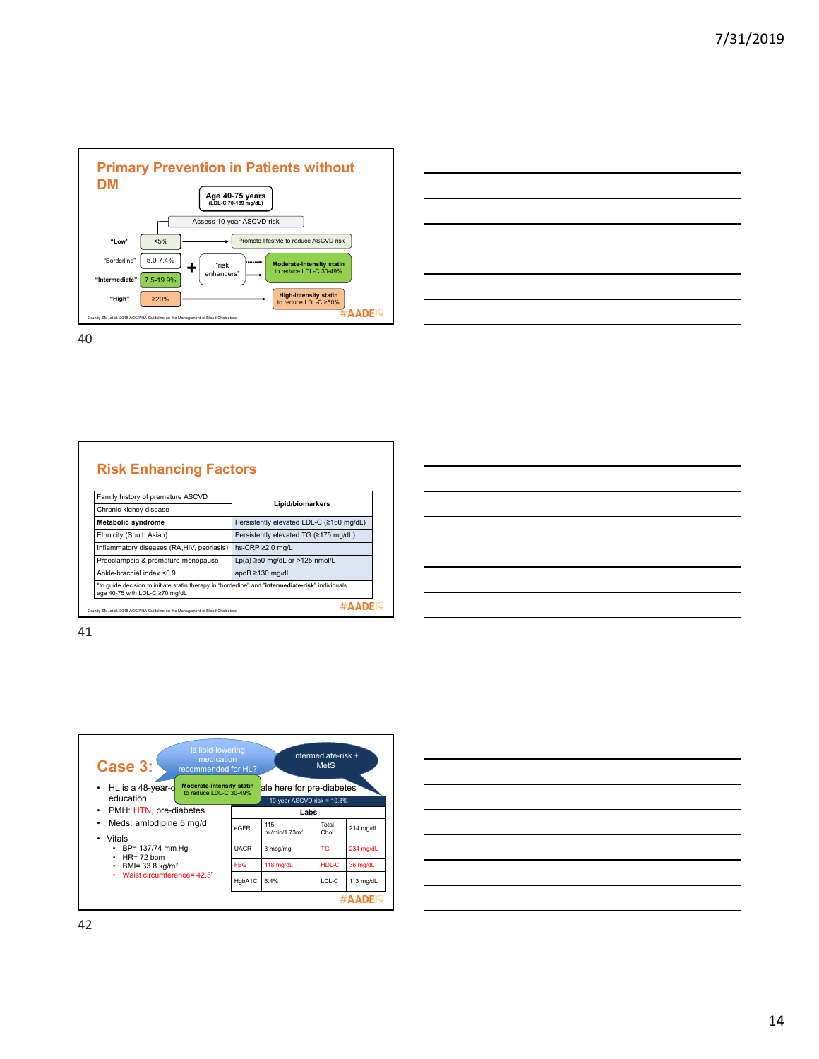

|                                                                                                                                                                                                                                      | and the contract of the contract of the contract of the contract of the contract of the contract of the contract of |
|--------------------------------------------------------------------------------------------------------------------------------------------------------------------------------------------------------------------------------------|---------------------------------------------------------------------------------------------------------------------|
|                                                                                                                                                                                                                                      |                                                                                                                     |
| <u>. In the contract of the contract of the contract of the contract of the contract of the contract of the contract of the contract of the contract of the contract of the contract of the contract of the contract of the cont</u> | ____                                                                                                                |
|                                                                                                                                                                                                                                      |                                                                                                                     |
| <u>successive and the second control of the second control of the second control of the second control of the second</u>                                                                                                             |                                                                                                                     |
|                                                                                                                                                                                                                                      | _______                                                                                                             |
| the contract of the contract of the contract of                                                                                                                                                                                      |                                                                                                                     |

|  |  | <b>Risk Enhancing Factors</b> |  |
|--|--|-------------------------------|--|
|  |  |                               |  |

| Family history of premature ASCVD                                                                                                   |                                          |
|-------------------------------------------------------------------------------------------------------------------------------------|------------------------------------------|
| Chronic kidney disease                                                                                                              | Lipid/biomarkers                         |
| <b>Metabolic syndrome</b>                                                                                                           | Persistently elevated LDL-C (≥160 mg/dL) |
| Ethnicity (South Asian)                                                                                                             | Persistently elevated TG (≥175 mg/dL)    |
| Inflammatory diseases (RA, HIV, psoriasis)                                                                                          | hs-CRP $\geq$ 2.0 mg/L                   |
| Preeclampsia & premature menopause                                                                                                  | Lp(a) $\geq$ 50 mg/dL or >125 nmol/L     |
| Ankle-brachial index $< 0.9$                                                                                                        | apoB $\geq$ 130 mg/dL                    |
| *to guide decision to initiate statin therapy in "borderline" and "intermediate-risk" individuals<br>age 40-75 with LDL-C ≥70 mg/dL |                                          |
| Grundy SM, et al. 2018 ACC/AHA Guideline on the Management of Blood Cholesterol                                                     |                                          |

| <u> 1989 - Andrea Andrew Maria (h. 1989).</u>                                                                         |  |  |
|-----------------------------------------------------------------------------------------------------------------------|--|--|
| <u> 1989 - Jan Samuel Barbara, martin da shekarar 1989 - Andrew Samuel Barbara, mashrida a shekarar 198</u>           |  |  |
| <u> 1989 - Andrea Santa Alemania, amerikana amerikana amerikana amerikana amerikana amerikana amerikana amerikan</u>  |  |  |
| <u> 1989 - Johann Barn, amerikan bernama di sebagai bernama dan bernama di sebagai bernama di sebagai bernama di</u>  |  |  |
| <u> 1989 - Johann Stoff, deutscher Stoff, der Stoff, der Stoff, der Stoff, der Stoff, der Stoff, der Stoff, der S</u> |  |  |
| <u> 1989 - Johann Stoff, Amerikaansk politiker († 1908)</u>                                                           |  |  |
| <u> 1989 - Johann Stoff, deutscher Stoff, der Stoff, der Stoff, der Stoff, der Stoff, der Stoff, der Stoff, der S</u> |  |  |
|                                                                                                                       |  |  |



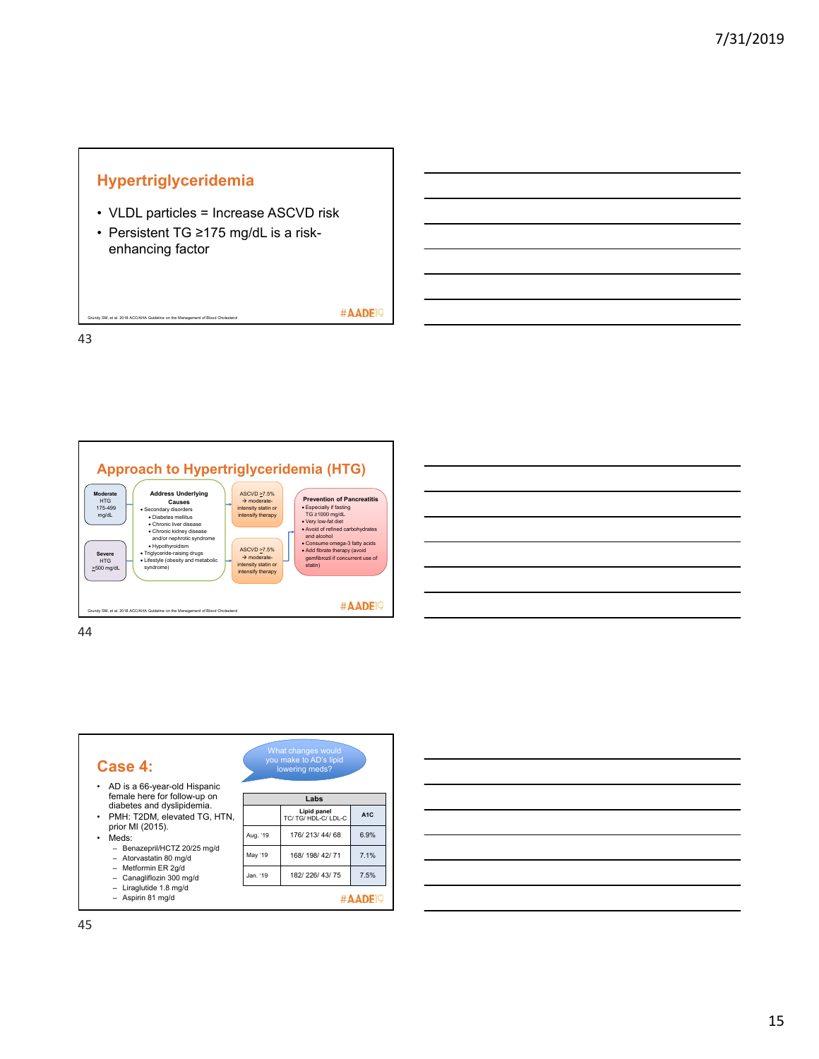# **Hypertriglyceridemia**

SM, et al. 2018 ACC/AHA Guideline on the Management of Blood Ch

- VLDL particles = Increase ASCVD risk
- Persistent TG ≥175 mg/dL is a riskenhancing factor

#AADE<sup>19</sup>

43



| Case 4:<br>AD is a 66-year-old Hispanic                      |          | What changes would<br>you make to AD's lipid<br>lowering meds? |                  |
|--------------------------------------------------------------|----------|----------------------------------------------------------------|------------------|
| female here for follow-up on                                 |          | Labs                                                           |                  |
| diabetes and dyslipidemia.<br>• PMH: T2DM, elevated TG, HTN, |          | Lipid panel<br>TC/TG/HDL-C/LDL-C                               | A <sub>1</sub> C |
| prior MI (2015).<br>Meds:                                    | Aug. '19 | 176/213/44/68                                                  | 6.9%             |
| - Benazepril/HCTZ 20/25 mg/d<br>- Atorvastatin 80 mg/d       | May '19  | 168/ 198/ 42/ 71                                               | 7.1%             |
| Metformin ER 2g/d<br>Canagliflozin 300 mg/d                  | Jan. '19 | 182/226/43/75                                                  | 7.5%             |
| $-$ Liraglutide 1.8 mg/d<br>Aspirin 81 mg/d                  |          |                                                                |                  |

| <u> 1989 - Johann Stoff, amerikansk politiker (d. 1989)</u>                                                           |  | the contract of the contract of |  |
|-----------------------------------------------------------------------------------------------------------------------|--|---------------------------------|--|
| <u> 1989 - Andrea Andrew Maria (h. 1989).</u>                                                                         |  |                                 |  |
| <u> 1989 - Andrea Andrew Maria (h. 1989).</u>                                                                         |  |                                 |  |
|                                                                                                                       |  |                                 |  |
| <u> 1989 - Johann Stoff, deutscher Stoff, der Stoff, der Stoff, der Stoff, der Stoff, der Stoff, der Stoff, der S</u> |  |                                 |  |
|                                                                                                                       |  |                                 |  |
|                                                                                                                       |  |                                 |  |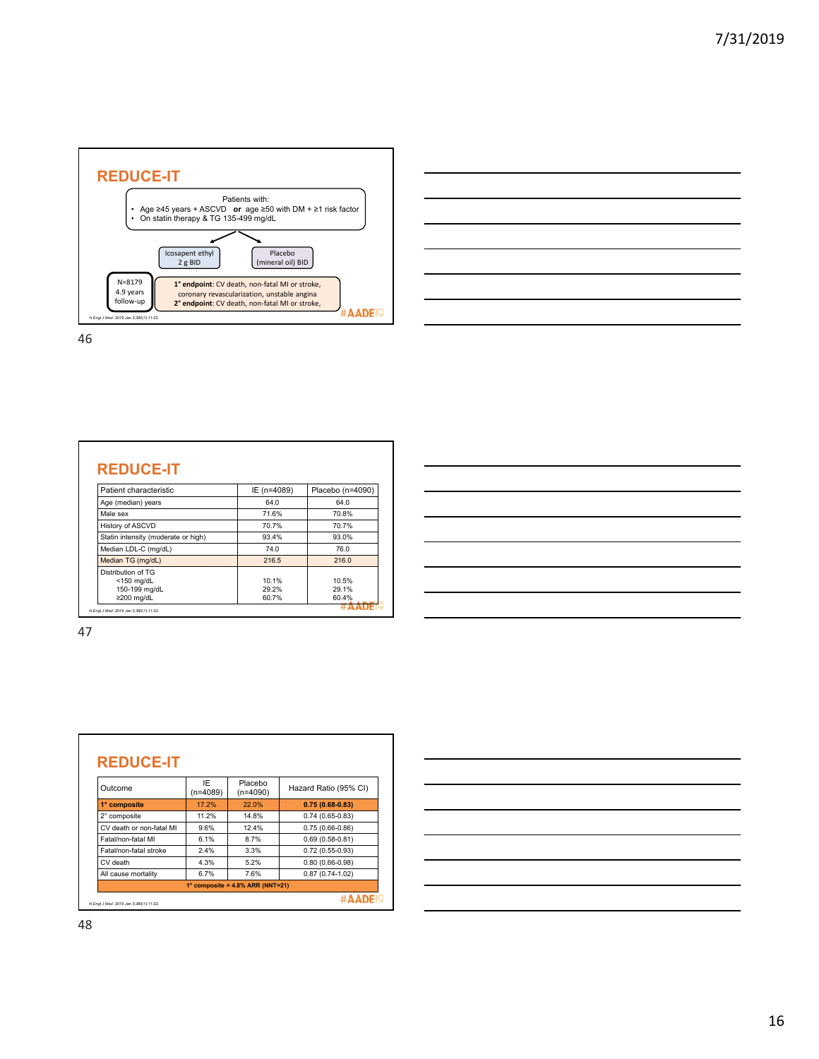



| Patient characteristic                                                   | IE (n=4089)             | Placebo (n=4090)        |
|--------------------------------------------------------------------------|-------------------------|-------------------------|
| Age (median) years                                                       | 64.0                    | 64.0                    |
| Male sex                                                                 | 71.6%                   | 70.8%                   |
| History of ASCVD                                                         | 70.7%                   | 70.7%                   |
| Statin intensity (moderate or high)                                      | 93.4%                   | 93.0%                   |
| Median LDL-C (mg/dL)                                                     | 74.0                    | 76.0                    |
| Median TG (mg/dL)                                                        | 216.5                   | 216.0                   |
| Distribution of TG<br>$<$ 150 mg/dL<br>150-199 mg/dL<br>$\geq$ 200 mg/dL | 10.1%<br>29.2%<br>60.7% | 10.5%<br>29.1%<br>60.4% |

| Outcome                  | IF<br>$(n=4089)$ | Placebo<br>$(n=4090)$ | Hazard Ratio (95% CI) |
|--------------------------|------------------|-----------------------|-----------------------|
| 1° composite             | 17.2%            | 22.0%                 | $0.75(0.68-0.83)$     |
| 2° composite             | 11.2%            | 14.8%                 | $0.74(0.65-0.83)$     |
| CV death or non-fatal MI | 9.6%             | 12.4%                 | $0.75(0.66-0.86)$     |
| Fatal/non-fatal MI       | 6.1%             | 8.7%                  | $0.69(0.58-0.81)$     |
| Fatal/non-fatal stroke   | 2.4%             | 3.3%                  | $0.72(0.55-0.93)$     |
| CV death                 | 4.3%             | 5.2%                  | $0.80(0.66 - 0.98)$   |
| All cause mortality      | 6.7%             | 7.6%                  | $0.87(0.74-1.02)$     |